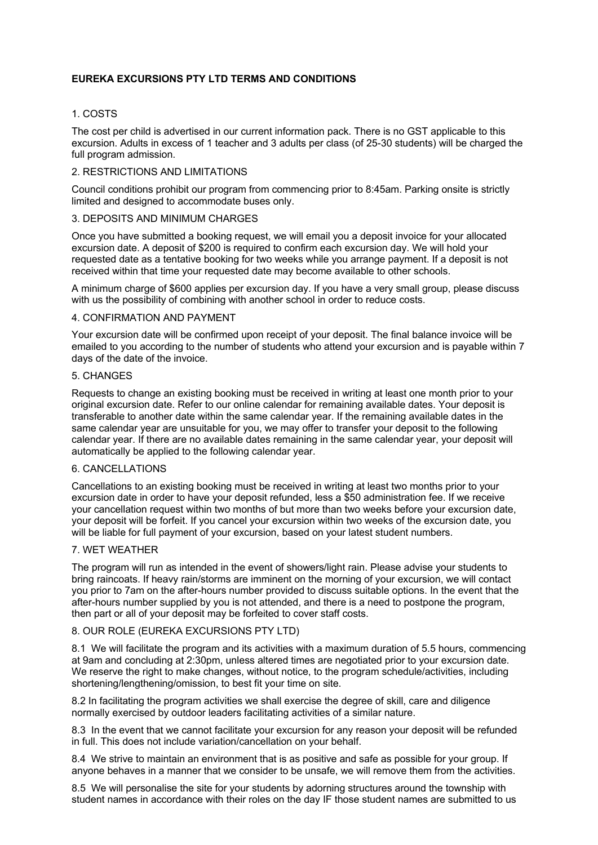# **EUREKA EXCURSIONS PTY LTD TERMS AND CONDITIONS**

## 1. COSTS

The cost per child is advertised in our current information pack. There is no GST applicable to this excursion. Adults in excess of 1 teacher and 3 adults per class (of 25-30 students) will be charged the full program admission.

#### 2. RESTRICTIONS AND LIMITATIONS

Council conditions prohibit our program from commencing prior to 8:45am. Parking onsite is strictly limited and designed to accommodate buses only.

# 3. DEPOSITS AND MINIMUM CHARGES

Once you have submitted a booking request, we will email you a deposit invoice for your allocated excursion date. A deposit of \$200 is required to confirm each excursion day. We will hold your requested date as a tentative booking for two weeks while you arrange payment. If a deposit is not received within that time your requested date may become available to other schools.

A minimum charge of \$600 applies per excursion day. If you have a very small group, please discuss with us the possibility of combining with another school in order to reduce costs.

## 4. CONFIRMATION AND PAYMENT

Your excursion date will be confirmed upon receipt of your deposit. The final balance invoice will be emailed to you according to the number of students who attend your excursion and is payable within 7 days of the date of the invoice.

#### 5. CHANGES

Requests to change an existing booking must be received in writing at least one month prior to your original excursion date. Refer to our online calendar for remaining available dates. Your deposit is transferable to another date within the same calendar year. If the remaining available dates in the same calendar year are unsuitable for you, we may offer to transfer your deposit to the following calendar year. If there are no available dates remaining in the same calendar year, your deposit will automatically be applied to the following calendar year.

## 6. CANCELLATIONS

Cancellations to an existing booking must be received in writing at least two months prior to your excursion date in order to have your deposit refunded, less a \$50 administration fee. If we receive your cancellation request within two months of but more than two weeks before your excursion date, your deposit will be forfeit. If you cancel your excursion within two weeks of the excursion date, you will be liable for full payment of your excursion, based on your latest student numbers.

### 7. WET WEATHER

The program will run as intended in the event of showers/light rain. Please advise your students to bring raincoats. If heavy rain/storms are imminent on the morning of your excursion, we will contact you prior to 7am on the after-hours number provided to discuss suitable options. In the event that the after-hours number supplied by you is not attended, and there is a need to postpone the program, then part or all of your deposit may be forfeited to cover staff costs.

### 8. OUR ROLE (EUREKA EXCURSIONS PTY LTD)

8.1 We will facilitate the program and its activities with a maximum duration of 5.5 hours, commencing at 9am and concluding at 2:30pm, unless altered times are negotiated prior to your excursion date. We reserve the right to make changes, without notice, to the program schedule/activities, including shortening/lengthening/omission, to best fit your time on site.

8.2 In facilitating the program activities we shall exercise the degree of skill, care and diligence normally exercised by outdoor leaders facilitating activities of a similar nature.

8.3 In the event that we cannot facilitate your excursion for any reason your deposit will be refunded in full. This does not include variation/cancellation on your behalf.

8.4 We strive to maintain an environment that is as positive and safe as possible for your group. If anyone behaves in a manner that we consider to be unsafe, we will remove them from the activities.

8.5 We will personalise the site for your students by adorning structures around the township with student names in accordance with their roles on the day IF those student names are submitted to us